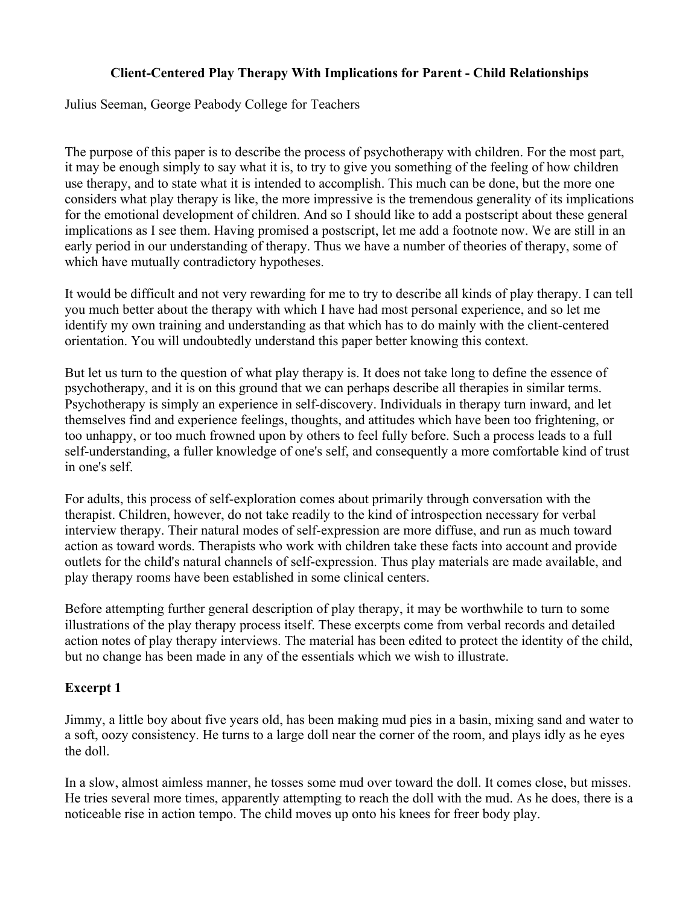## Client-Centered Play Therapy With Implications for Parent - Child Relationships

Julius Seeman, George Peabody College for Teachers

The purpose of this paper is to describe the process of psychotherapy with children. For the most part, it may be enough simply to say what it is, to try to give you something of the feeling of how children use therapy, and to state what it is intended to accomplish. This much can be done, but the more one considers what play therapy is like, the more impressive is the tremendous generality of its implications for the emotional development of children. And so I should like to add a postscript about these general implications as I see them. Having promised a postscript, let me add a footnote now. We are still in an early period in our understanding of therapy. Thus we have a number of theories of therapy, some of which have mutually contradictory hypotheses.

It would be difficult and not very rewarding for me to try to describe all kinds of play therapy. I can tell you much better about the therapy with which I have had most personal experience, and so let me identify my own training and understanding as that which has to do mainly with the client-centered orientation. You will undoubtedly understand this paper better knowing this context.

But let us turn to the question of what play therapy is. It does not take long to define the essence of psychotherapy, and it is on this ground that we can perhaps describe all therapies in similar terms. Psychotherapy is simply an experience in self-discovery. Individuals in therapy turn inward, and let themselves find and experience feelings, thoughts, and attitudes which have been too frightening, or too unhappy, or too much frowned upon by others to feel fully before. Such a process leads to a full self-understanding, a fuller knowledge of one's self, and consequently a more comfortable kind of trust in one's self.

For adults, this process of self-exploration comes about primarily through conversation with the therapist. Children, however, do not take readily to the kind of introspection necessary for verbal interview therapy. Their natural modes of self-expression are more diffuse, and run as much toward action as toward words. Therapists who work with children take these facts into account and provide outlets for the child's natural channels of self-expression. Thus play materials are made available, and play therapy rooms have been established in some clinical centers.

Before attempting further general description of play therapy, it may be worthwhile to turn to some illustrations of the play therapy process itself. These excerpts come from verbal records and detailed action notes of play therapy interviews. The material has been edited to protect the identity of the child, but no change has been made in any of the essentials which we wish to illustrate.

## Excerpt 1

Jimmy, a little boy about five years old, has been making mud pies in a basin, mixing sand and water to a soft, oozy consistency. He turns to a large doll near the corner of the room, and plays idly as he eyes the doll.

In a slow, almost aimless manner, he tosses some mud over toward the doll. It comes close, but misses. He tries several more times, apparently attempting to reach the doll with the mud. As he does, there is a noticeable rise in action tempo. The child moves up onto his knees for freer body play.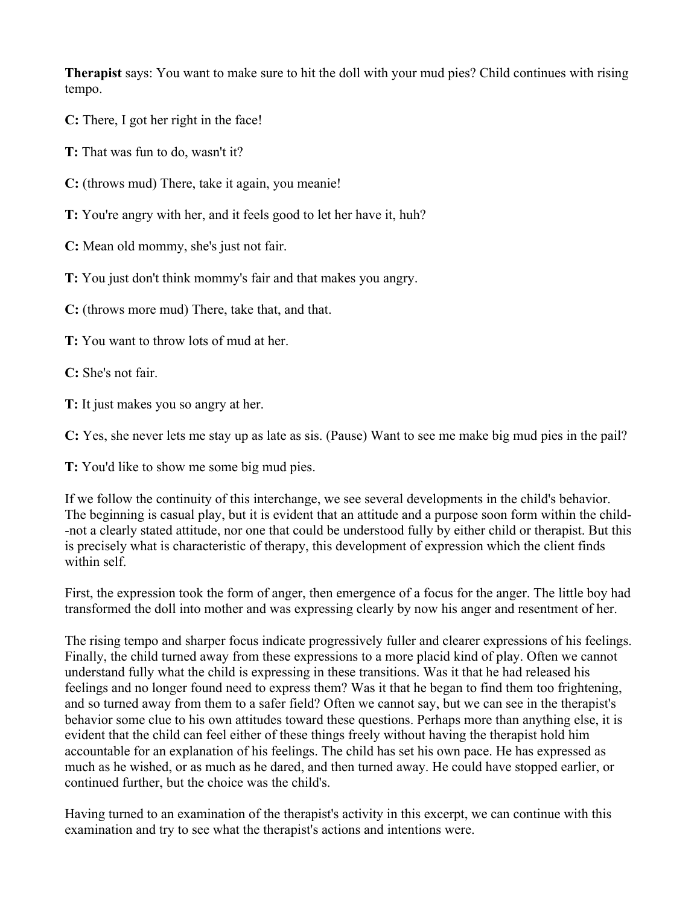Therapist says: You want to make sure to hit the doll with your mud pies? Child continues with rising tempo.

- C: There, I got her right in the face!
- T: That was fun to do, wasn't it?
- C: (throws mud) There, take it again, you meanie!
- T: You're angry with her, and it feels good to let her have it, huh?
- C: Mean old mommy, she's just not fair.
- T: You just don't think mommy's fair and that makes you angry.
- C: (throws more mud) There, take that, and that.
- T: You want to throw lots of mud at her.
- C: She's not fair.
- T: It just makes you so angry at her.
- C: Yes, she never lets me stay up as late as sis. (Pause) Want to see me make big mud pies in the pail?
- T: You'd like to show me some big mud pies.

If we follow the continuity of this interchange, we see several developments in the child's behavior. The beginning is casual play, but it is evident that an attitude and a purpose soon form within the child- -not a clearly stated attitude, nor one that could be understood fully by either child or therapist. But this is precisely what is characteristic of therapy, this development of expression which the client finds within self.

First, the expression took the form of anger, then emergence of a focus for the anger. The little boy had transformed the doll into mother and was expressing clearly by now his anger and resentment of her.

The rising tempo and sharper focus indicate progressively fuller and clearer expressions of his feelings. Finally, the child turned away from these expressions to a more placid kind of play. Often we cannot understand fully what the child is expressing in these transitions. Was it that he had released his feelings and no longer found need to express them? Was it that he began to find them too frightening, and so turned away from them to a safer field? Often we cannot say, but we can see in the therapist's behavior some clue to his own attitudes toward these questions. Perhaps more than anything else, it is evident that the child can feel either of these things freely without having the therapist hold him accountable for an explanation of his feelings. The child has set his own pace. He has expressed as much as he wished, or as much as he dared, and then turned away. He could have stopped earlier, or continued further, but the choice was the child's.

Having turned to an examination of the therapist's activity in this excerpt, we can continue with this examination and try to see what the therapist's actions and intentions were.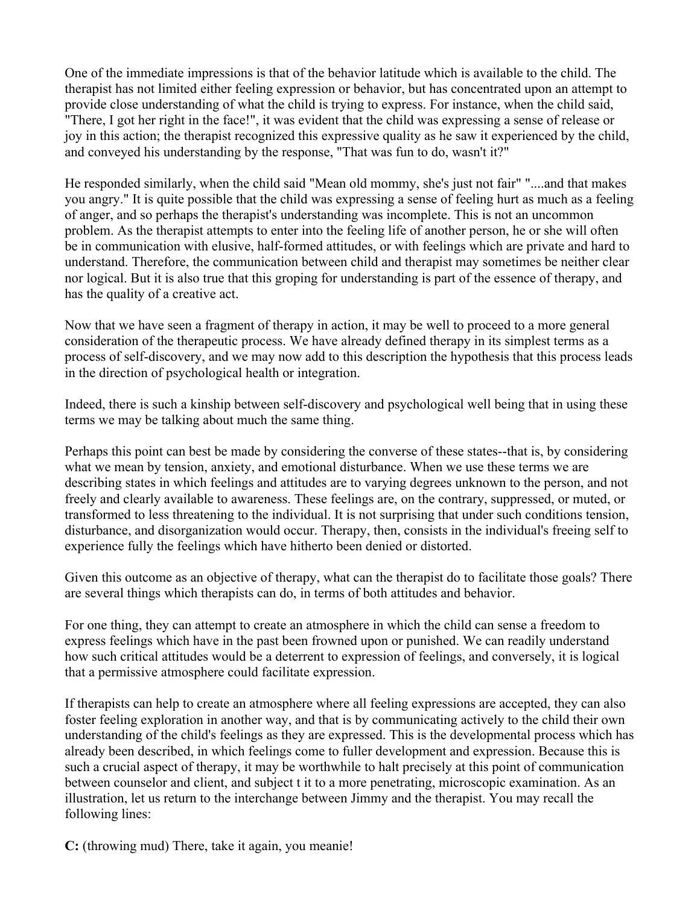One of the immediate impressions is that of the behavior latitude which is available to the child. The therapist has not limited either feeling expression or behavior, but has concentrated upon an attempt to provide close understanding of what the child is trying to express. For instance, when the child said, "There, I got her right in the face!", it was evident that the child was expressing a sense of release or joy in this action; the therapist recognized this expressive quality as he saw it experienced by the child, and conveyed his understanding by the response, "That was fun to do, wasn't it?"

He responded similarly, when the child said "Mean old mommy, she's just not fair" "....and that makes you angry." It is quite possible that the child was expressing a sense of feeling hurt as much as a feeling of anger, and so perhaps the therapist's understanding was incomplete. This is not an uncommon problem. As the therapist attempts to enter into the feeling life of another person, he or she will often be in communication with elusive, half-formed attitudes, or with feelings which are private and hard to understand. Therefore, the communication between child and therapist may sometimes be neither clear nor logical. But it is also true that this groping for understanding is part of the essence of therapy, and has the quality of a creative act.

Now that we have seen a fragment of therapy in action, it may be well to proceed to a more general consideration of the therapeutic process. We have already defined therapy in its simplest terms as a process of self-discovery, and we may now add to this description the hypothesis that this process leads in the direction of psychological health or integration.

Indeed, there is such a kinship between self-discovery and psychological well being that in using these terms we may be talking about much the same thing.

Perhaps this point can best be made by considering the converse of these states--that is, by considering what we mean by tension, anxiety, and emotional disturbance. When we use these terms we are describing states in which feelings and attitudes are to varying degrees unknown to the person, and not freely and clearly available to awareness. These feelings are, on the contrary, suppressed, or muted, or transformed to less threatening to the individual. It is not surprising that under such conditions tension, disturbance, and disorganization would occur. Therapy, then, consists in the individual's freeing self to experience fully the feelings which have hitherto been denied or distorted.

Given this outcome as an objective of therapy, what can the therapist do to facilitate those goals? There are several things which therapists can do, in terms of both attitudes and behavior.

For one thing, they can attempt to create an atmosphere in which the child can sense a freedom to express feelings which have in the past been frowned upon or punished. We can readily understand how such critical attitudes would be a deterrent to expression of feelings, and conversely, it is logical that a permissive atmosphere could facilitate expression.

If therapists can help to create an atmosphere where all feeling expressions are accepted, they can also foster feeling exploration in another way, and that is by communicating actively to the child their own understanding of the child's feelings as they are expressed. This is the developmental process which has already been described, in which feelings come to fuller development and expression. Because this is such a crucial aspect of therapy, it may be worthwhile to halt precisely at this point of communication between counselor and client, and subject t it to a more penetrating, microscopic examination. As an illustration, let us return to the interchange between Jimmy and the therapist. You may recall the following lines:

C: (throwing mud) There, take it again, you meanie!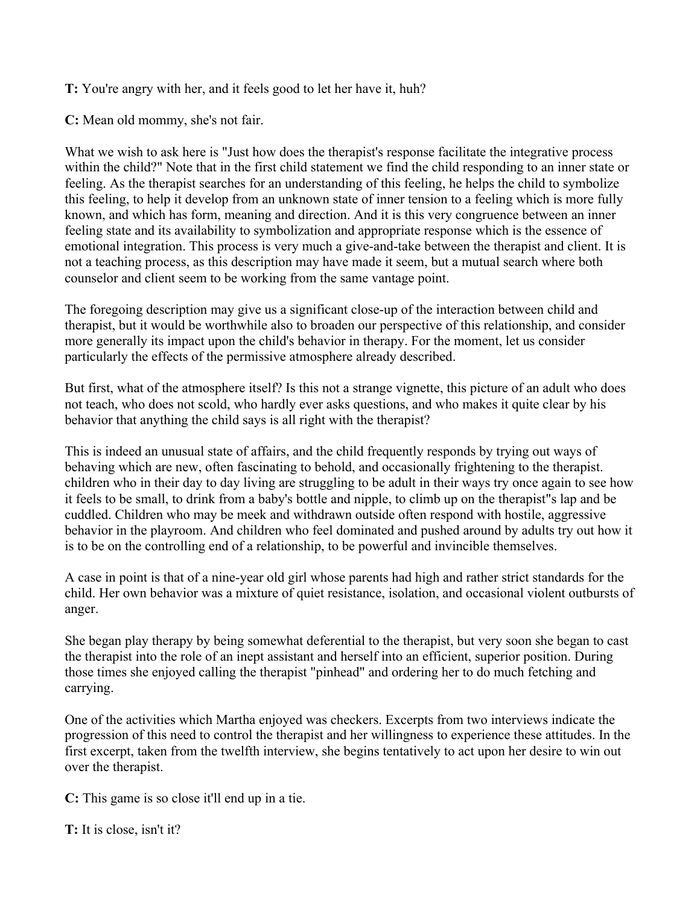T: You're angry with her, and it feels good to let her have it, huh?

C: Mean old mommy, she's not fair.

What we wish to ask here is "Just how does the therapist's response facilitate the integrative process within the child?" Note that in the first child statement we find the child responding to an inner state or feeling. As the therapist searches for an understanding of this feeling, he helps the child to symbolize this feeling, to help it develop from an unknown state of inner tension to a feeling which is more fully known, and which has form, meaning and direction. And it is this very congruence between an inner feeling state and its availability to symbolization and appropriate response which is the essence of emotional integration. This process is very much a give-and-take between the therapist and client. It is not a teaching process, as this description may have made it seem, but a mutual search where both counselor and client seem to be working from the same vantage point.

The foregoing description may give us a significant close-up of the interaction between child and therapist, but it would be worthwhile also to broaden our perspective of this relationship, and consider more generally its impact upon the child's behavior in therapy. For the moment, let us consider particularly the effects of the permissive atmosphere already described.

But first, what of the atmosphere itself? Is this not a strange vignette, this picture of an adult who does not teach, who does not scold, who hardly ever asks questions, and who makes it quite clear by his behavior that anything the child says is all right with the therapist?

This is indeed an unusual state of affairs, and the child frequently responds by trying out ways of behaving which are new, often fascinating to behold, and occasionally frightening to the therapist. children who in their day to day living are struggling to be adult in their ways try once again to see how it feels to be small, to drink from a baby's bottle and nipple, to climb up on the therapist"s lap and be cuddled. Children who may be meek and withdrawn outside often respond with hostile, aggressive behavior in the playroom. And children who feel dominated and pushed around by adults try out how it is to be on the controlling end of a relationship, to be powerful and invincible themselves.

A case in point is that of a nine-year old girl whose parents had high and rather strict standards for the child. Her own behavior was a mixture of quiet resistance, isolation, and occasional violent outbursts of anger.

She began play therapy by being somewhat deferential to the therapist, but very soon she began to cast the therapist into the role of an inept assistant and herself into an efficient, superior position. During those times she enjoyed calling the therapist "pinhead" and ordering her to do much fetching and carrying.

One of the activities which Martha enjoyed was checkers. Excerpts from two interviews indicate the progression of this need to control the therapist and her willingness to experience these attitudes. In the first excerpt, taken from the twelfth interview, she begins tentatively to act upon her desire to win out over the therapist.

C: This game is so close it'll end up in a tie.

T: It is close, isn't it?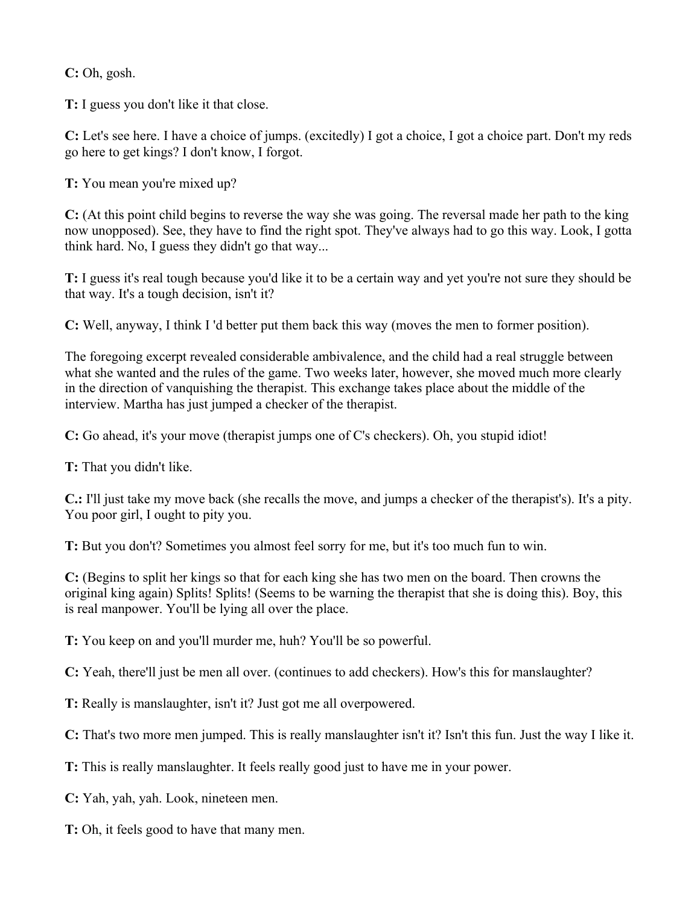C: Oh, gosh.

T: I guess you don't like it that close.

C: Let's see here. I have a choice of jumps. (excitedly) I got a choice, I got a choice part. Don't my reds go here to get kings? I don't know, I forgot.

T: You mean you're mixed up?

C: (At this point child begins to reverse the way she was going. The reversal made her path to the king now unopposed). See, they have to find the right spot. They've always had to go this way. Look, I gotta think hard. No, I guess they didn't go that way...

T: I guess it's real tough because you'd like it to be a certain way and yet you're not sure they should be that way. It's a tough decision, isn't it?

C: Well, anyway, I think I 'd better put them back this way (moves the men to former position).

The foregoing excerpt revealed considerable ambivalence, and the child had a real struggle between what she wanted and the rules of the game. Two weeks later, however, she moved much more clearly in the direction of vanquishing the therapist. This exchange takes place about the middle of the interview. Martha has just jumped a checker of the therapist.

C: Go ahead, it's your move (therapist jumps one of C's checkers). Oh, you stupid idiot!

T: That you didn't like.

C.: I'll just take my move back (she recalls the move, and jumps a checker of the therapist's). It's a pity. You poor girl, I ought to pity you.

T: But you don't? Sometimes you almost feel sorry for me, but it's too much fun to win.

C: (Begins to split her kings so that for each king she has two men on the board. Then crowns the original king again) Splits! Splits! (Seems to be warning the therapist that she is doing this). Boy, this is real manpower. You'll be lying all over the place.

T: You keep on and you'll murder me, huh? You'll be so powerful.

C: Yeah, there'll just be men all over. (continues to add checkers). How's this for manslaughter?

T: Really is manslaughter, isn't it? Just got me all overpowered.

C: That's two more men jumped. This is really manslaughter isn't it? Isn't this fun. Just the way I like it.

T: This is really manslaughter. It feels really good just to have me in your power.

C: Yah, yah, yah. Look, nineteen men.

T: Oh, it feels good to have that many men.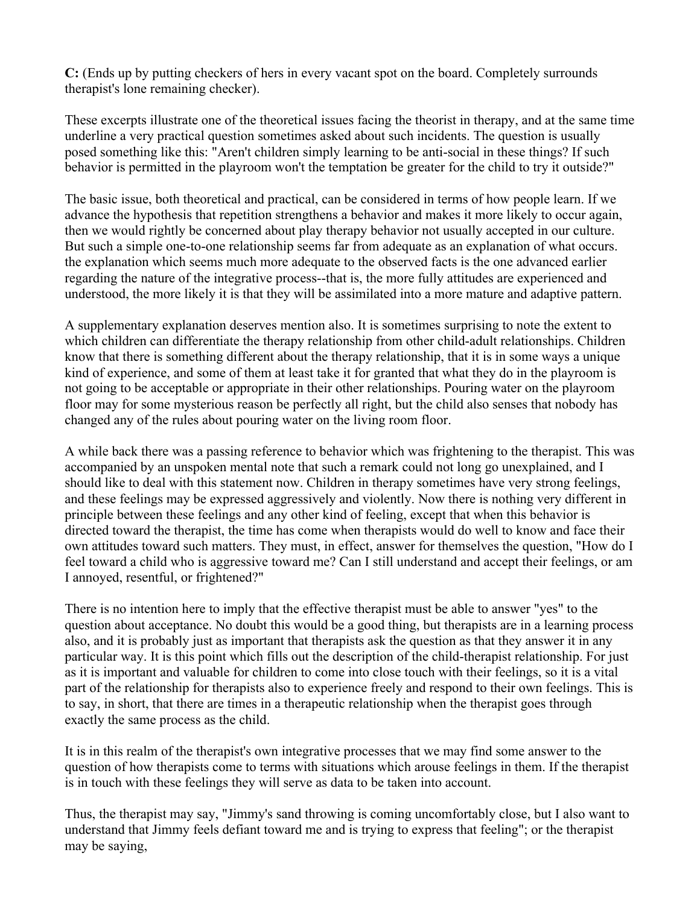C: (Ends up by putting checkers of hers in every vacant spot on the board. Completely surrounds therapist's lone remaining checker).

These excerpts illustrate one of the theoretical issues facing the theorist in therapy, and at the same time underline a very practical question sometimes asked about such incidents. The question is usually posed something like this: "Aren't children simply learning to be anti-social in these things? If such behavior is permitted in the playroom won't the temptation be greater for the child to try it outside?"

The basic issue, both theoretical and practical, can be considered in terms of how people learn. If we advance the hypothesis that repetition strengthens a behavior and makes it more likely to occur again, then we would rightly be concerned about play therapy behavior not usually accepted in our culture. But such a simple one-to-one relationship seems far from adequate as an explanation of what occurs. the explanation which seems much more adequate to the observed facts is the one advanced earlier regarding the nature of the integrative process--that is, the more fully attitudes are experienced and understood, the more likely it is that they will be assimilated into a more mature and adaptive pattern.

A supplementary explanation deserves mention also. It is sometimes surprising to note the extent to which children can differentiate the therapy relationship from other child-adult relationships. Children know that there is something different about the therapy relationship, that it is in some ways a unique kind of experience, and some of them at least take it for granted that what they do in the playroom is not going to be acceptable or appropriate in their other relationships. Pouring water on the playroom floor may for some mysterious reason be perfectly all right, but the child also senses that nobody has changed any of the rules about pouring water on the living room floor.

A while back there was a passing reference to behavior which was frightening to the therapist. This was accompanied by an unspoken mental note that such a remark could not long go unexplained, and I should like to deal with this statement now. Children in therapy sometimes have very strong feelings, and these feelings may be expressed aggressively and violently. Now there is nothing very different in principle between these feelings and any other kind of feeling, except that when this behavior is directed toward the therapist, the time has come when therapists would do well to know and face their own attitudes toward such matters. They must, in effect, answer for themselves the question, "How do I feel toward a child who is aggressive toward me? Can I still understand and accept their feelings, or am I annoyed, resentful, or frightened?"

There is no intention here to imply that the effective therapist must be able to answer "yes" to the question about acceptance. No doubt this would be a good thing, but therapists are in a learning process also, and it is probably just as important that therapists ask the question as that they answer it in any particular way. It is this point which fills out the description of the child-therapist relationship. For just as it is important and valuable for children to come into close touch with their feelings, so it is a vital part of the relationship for therapists also to experience freely and respond to their own feelings. This is to say, in short, that there are times in a therapeutic relationship when the therapist goes through exactly the same process as the child.

It is in this realm of the therapist's own integrative processes that we may find some answer to the question of how therapists come to terms with situations which arouse feelings in them. If the therapist is in touch with these feelings they will serve as data to be taken into account.

Thus, the therapist may say, "Jimmy's sand throwing is coming uncomfortably close, but I also want to understand that Jimmy feels defiant toward me and is trying to express that feeling"; or the therapist may be saying,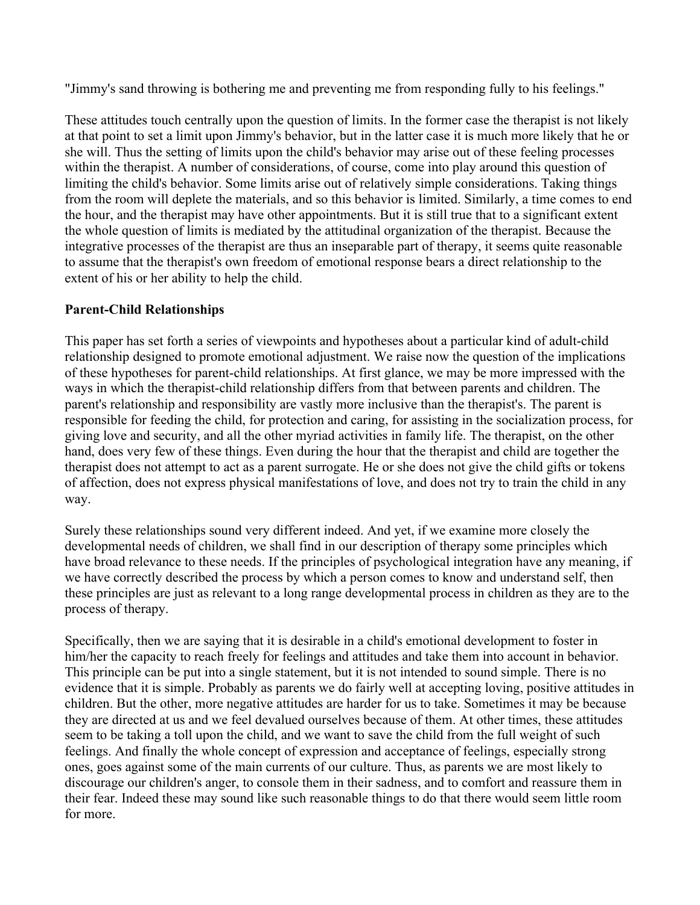"Jimmy's sand throwing is bothering me and preventing me from responding fully to his feelings."

These attitudes touch centrally upon the question of limits. In the former case the therapist is not likely at that point to set a limit upon Jimmy's behavior, but in the latter case it is much more likely that he or she will. Thus the setting of limits upon the child's behavior may arise out of these feeling processes within the therapist. A number of considerations, of course, come into play around this question of limiting the child's behavior. Some limits arise out of relatively simple considerations. Taking things from the room will deplete the materials, and so this behavior is limited. Similarly, a time comes to end the hour, and the therapist may have other appointments. But it is still true that to a significant extent the whole question of limits is mediated by the attitudinal organization of the therapist. Because the integrative processes of the therapist are thus an inseparable part of therapy, it seems quite reasonable to assume that the therapist's own freedom of emotional response bears a direct relationship to the extent of his or her ability to help the child.

## Parent-Child Relationships

This paper has set forth a series of viewpoints and hypotheses about a particular kind of adult-child relationship designed to promote emotional adjustment. We raise now the question of the implications of these hypotheses for parent-child relationships. At first glance, we may be more impressed with the ways in which the therapist-child relationship differs from that between parents and children. The parent's relationship and responsibility are vastly more inclusive than the therapist's. The parent is responsible for feeding the child, for protection and caring, for assisting in the socialization process, for giving love and security, and all the other myriad activities in family life. The therapist, on the other hand, does very few of these things. Even during the hour that the therapist and child are together the therapist does not attempt to act as a parent surrogate. He or she does not give the child gifts or tokens of affection, does not express physical manifestations of love, and does not try to train the child in any way.

Surely these relationships sound very different indeed. And yet, if we examine more closely the developmental needs of children, we shall find in our description of therapy some principles which have broad relevance to these needs. If the principles of psychological integration have any meaning, if we have correctly described the process by which a person comes to know and understand self, then these principles are just as relevant to a long range developmental process in children as they are to the process of therapy.

Specifically, then we are saying that it is desirable in a child's emotional development to foster in him/her the capacity to reach freely for feelings and attitudes and take them into account in behavior. This principle can be put into a single statement, but it is not intended to sound simple. There is no evidence that it is simple. Probably as parents we do fairly well at accepting loving, positive attitudes in children. But the other, more negative attitudes are harder for us to take. Sometimes it may be because they are directed at us and we feel devalued ourselves because of them. At other times, these attitudes seem to be taking a toll upon the child, and we want to save the child from the full weight of such feelings. And finally the whole concept of expression and acceptance of feelings, especially strong ones, goes against some of the main currents of our culture. Thus, as parents we are most likely to discourage our children's anger, to console them in their sadness, and to comfort and reassure them in their fear. Indeed these may sound like such reasonable things to do that there would seem little room for more.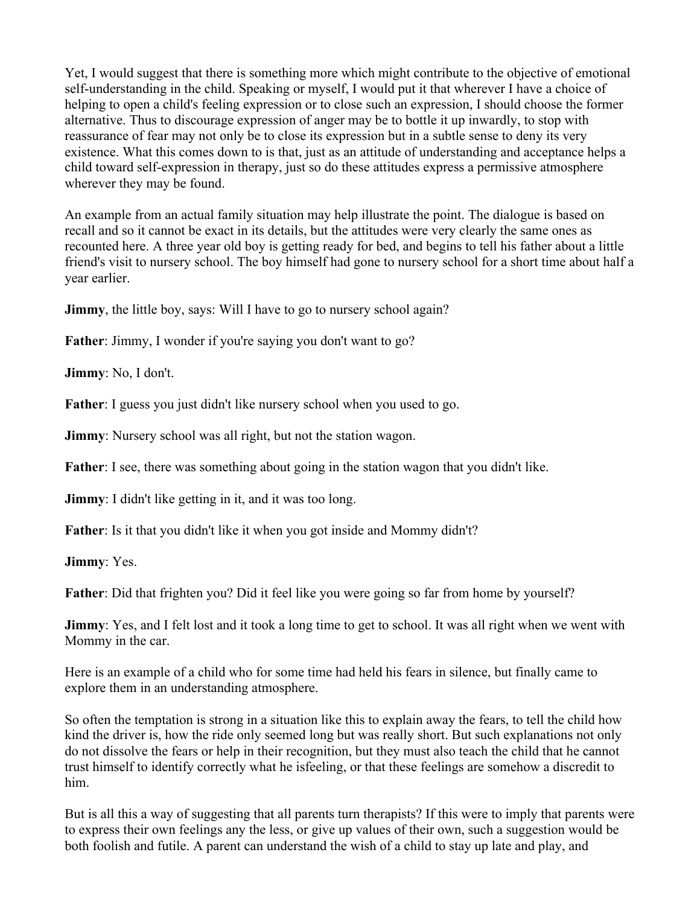Yet, I would suggest that there is something more which might contribute to the objective of emotional self-understanding in the child. Speaking or myself, I would put it that wherever I have a choice of helping to open a child's feeling expression or to close such an expression, I should choose the former alternative. Thus to discourage expression of anger may be to bottle it up inwardly, to stop with reassurance of fear may not only be to close its expression but in a subtle sense to deny its very existence. What this comes down to is that, just as an attitude of understanding and acceptance helps a child toward self-expression in therapy, just so do these attitudes express a permissive atmosphere wherever they may be found.

An example from an actual family situation may help illustrate the point. The dialogue is based on recall and so it cannot be exact in its details, but the attitudes were very clearly the same ones as recounted here. A three year old boy is getting ready for bed, and begins to tell his father about a little friend's visit to nursery school. The boy himself had gone to nursery school for a short time about half a year earlier.

**Jimmy**, the little boy, says: Will I have to go to nursery school again?

Father: Jimmy, I wonder if you're saying you don't want to go?

Jimmy: No, I don't.

Father: I guess you just didn't like nursery school when you used to go.

**Jimmy**: Nursery school was all right, but not the station wagon.

Father: I see, there was something about going in the station wagon that you didn't like.

**Jimmy**: I didn't like getting in it, and it was too long.

Father: Is it that you didn't like it when you got inside and Mommy didn't?

Jimmy: Yes.

Father: Did that frighten you? Did it feel like you were going so far from home by yourself?

**Jimmy**: Yes, and I felt lost and it took a long time to get to school. It was all right when we went with Mommy in the car.

Here is an example of a child who for some time had held his fears in silence, but finally came to explore them in an understanding atmosphere.

So often the temptation is strong in a situation like this to explain away the fears, to tell the child how kind the driver is, how the ride only seemed long but was really short. But such explanations not only do not dissolve the fears or help in their recognition, but they must also teach the child that he cannot trust himself to identify correctly what he isfeeling, or that these feelings are somehow a discredit to him.

But is all this a way of suggesting that all parents turn therapists? If this were to imply that parents were to express their own feelings any the less, or give up values of their own, such a suggestion would be both foolish and futile. A parent can understand the wish of a child to stay up late and play, and